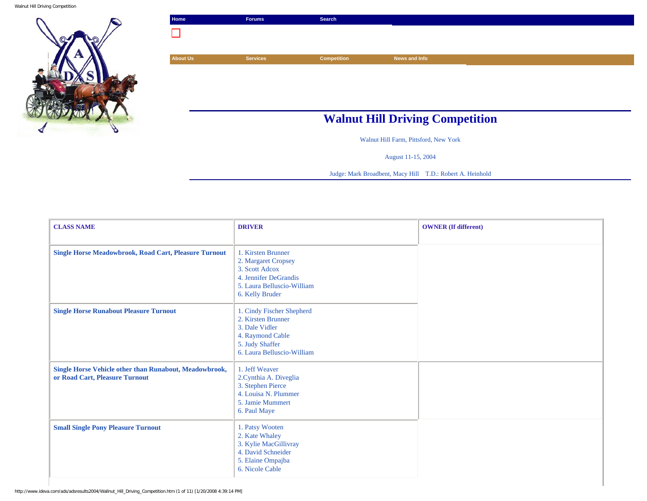Walnut Hill Driving Competition



| Home            | <b>Forums</b>   | <b>Search</b>      |                                        |  |
|-----------------|-----------------|--------------------|----------------------------------------|--|
|                 |                 |                    |                                        |  |
|                 |                 |                    |                                        |  |
| <b>About Us</b> | <b>Services</b> | <b>Competition</b> | News and Info                          |  |
|                 |                 |                    |                                        |  |
|                 |                 |                    |                                        |  |
|                 |                 |                    |                                        |  |
|                 |                 |                    |                                        |  |
|                 |                 |                    | <b>Walnut Hill Driving Competition</b> |  |
|                 |                 |                    |                                        |  |

Walnut Hill Farm, Pittsford, New York

August 11-15, 2004

Judge: Mark Broadbent, Macy Hill T.D.: Robert A. Heinhold

| <b>CLASS NAME</b>                                                                        | <b>DRIVER</b>                                                                                                                          | <b>OWNER</b> (If different) |
|------------------------------------------------------------------------------------------|----------------------------------------------------------------------------------------------------------------------------------------|-----------------------------|
| <b>Single Horse Meadowbrook, Road Cart, Pleasure Turnout</b>                             | 1. Kirsten Brunner<br>2. Margaret Cropsey<br>3. Scott Adcox<br>4. Jennifer DeGrandis<br>5. Laura Belluscio-William<br>6. Kelly Bruder  |                             |
| <b>Single Horse Runabout Pleasure Turnout</b>                                            | 1. Cindy Fischer Shepherd<br>2. Kirsten Brunner<br>3. Dale Vidler<br>4. Raymond Cable<br>5. Judy Shaffer<br>6. Laura Belluscio-William |                             |
| Single Horse Vehicle other than Runabout, Meadowbrook,<br>or Road Cart, Pleasure Turnout | 1. Jeff Weaver<br>2. Cynthia A. Diveglia<br>3. Stephen Pierce<br>4. Louisa N. Plummer<br>5. Jamie Mummert<br>6. Paul Maye              |                             |
| <b>Small Single Pony Pleasure Turnout</b>                                                | 1. Patsy Wooten<br>2. Kate Whaley<br>3. Kylie MacGillivray<br>4. David Schneider<br>5. Elaine Ompajba<br>6. Nicole Cable               |                             |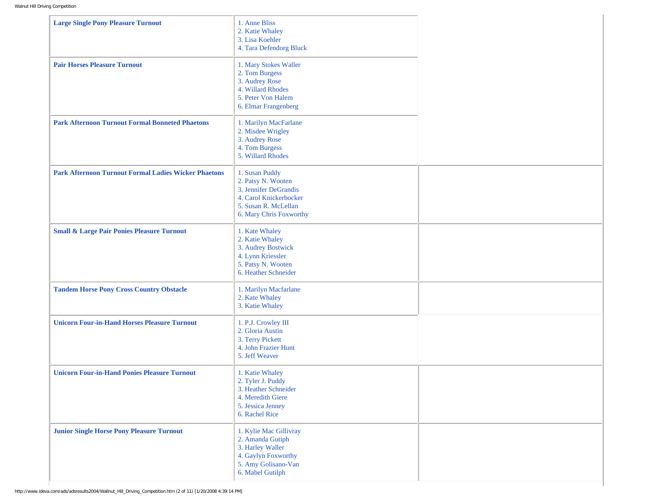| <b>Large Single Pony Pleasure Turnout</b>                   | 1. Anne Bliss<br>2. Katie Whaley<br>3. Lisa Koehler<br>4. Tara Defendorg Bluck                                                             |  |
|-------------------------------------------------------------|--------------------------------------------------------------------------------------------------------------------------------------------|--|
| <b>Pair Horses Pleasure Turnout</b>                         | 1. Mary Stokes Waller<br>2. Tom Burgess<br>3. Audrey Rose<br>4. Willard Rhodes<br>5. Peter Von Halem<br>6. Elmar Frangenberg               |  |
| <b>Park Afternoon Turnout Formal Bonneted Phaetons</b>      | 1. Marilyn MacFarlane<br>2. Misdee Wrigley<br>3. Audrey Rose<br>4. Tom Burgess<br>5. Willard Rhodes                                        |  |
| <b>Park Afternoon Turnout Formal Ladies Wicker Phaetons</b> | 1. Susan Puddy<br>2. Patsy N. Wooten<br>3. Jennifer DeGrandis<br>4. Carol Knickerbocker<br>5. Susan R. McLellan<br>6. Mary Chris Foxworthy |  |
| <b>Small &amp; Large Pair Ponies Pleasure Turnout</b>       | 1. Kate Whaley<br>2. Katie Whaley<br>3. Audrey Bostwick<br>4. Lynn Kriessler<br>5. Patsy N. Wooten<br>6. Heather Schneider                 |  |
| <b>Tandem Horse Pony Cross Country Obstacle</b>             | 1. Marilyn Macfarlane<br>2. Kate Whaley<br>3. Katie Whaley                                                                                 |  |
| <b>Unicorn Four-in-Hand Horses Pleasure Turnout</b>         | 1. P.J. Crowley III<br>2. Gloria Austin<br>3. Terry Pickett<br>4. John Frazier Hunt<br>5. Jeff Weaver                                      |  |
| <b>Unicorn Four-in-Hand Ponies Pleasure Turnout</b>         | 1. Katie Whaley<br>2. Tyler J. Puddy<br>3. Heather Schneider<br>4. Meredith Giere<br>5. Jessica Jenney<br>6. Rachel Rice                   |  |
| <b>Junior Single Horse Pony Pleasure Turnout</b>            | 1. Kylie Mac Gillivray<br>2. Amanda Gutiph<br>3. Harley Waller<br>4. Gaylyn Foxworthy<br>5. Amy Golisano-Van<br>6. Mabel Gutilph           |  |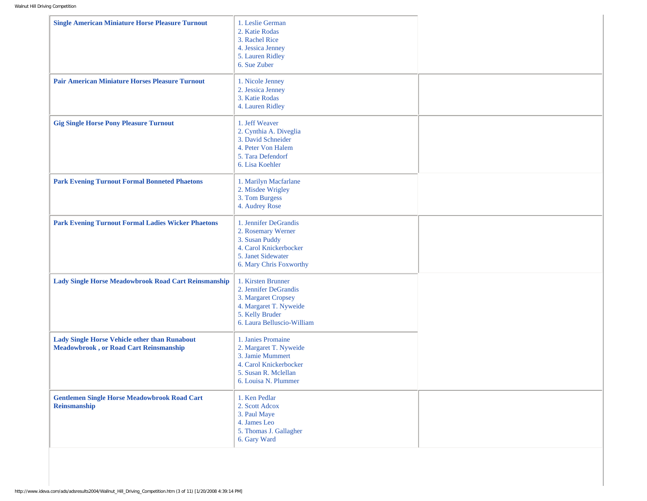| <b>Single American Miniature Horse Pleasure Turnout</b>                                               | 1. Leslie German<br>2. Katie Rodas<br>3. Rachel Rice<br>4. Jessica Jenney<br>5. Lauren Ridley<br>6. Sue Zuber                                 |  |
|-------------------------------------------------------------------------------------------------------|-----------------------------------------------------------------------------------------------------------------------------------------------|--|
| <b>Pair American Miniature Horses Pleasure Turnout</b>                                                | 1. Nicole Jenney<br>2. Jessica Jenney<br>3. Katie Rodas<br>4. Lauren Ridley                                                                   |  |
| <b>Gig Single Horse Pony Pleasure Turnout</b>                                                         | 1. Jeff Weaver<br>2. Cynthia A. Diveglia<br>3. David Schneider<br>4. Peter Von Halem<br>5. Tara Defendorf<br>6. Lisa Koehler                  |  |
| <b>Park Evening Turnout Formal Bonneted Phaetons</b>                                                  | 1. Marilyn Macfarlane<br>2. Misdee Wrigley<br>3. Tom Burgess<br>4. Audrey Rose                                                                |  |
| <b>Park Evening Turnout Formal Ladies Wicker Phaetons</b>                                             | 1. Jennifer DeGrandis<br>2. Rosemary Werner<br>3. Susan Puddy<br>4. Carol Knickerbocker<br>5. Janet Sidewater<br>6. Mary Chris Foxworthy      |  |
| Lady Single Horse Meadowbrook Road Cart Reinsmanship                                                  | 1. Kirsten Brunner<br>2. Jennifer DeGrandis<br>3. Margaret Cropsey<br>4. Margaret T. Nyweide<br>5. Kelly Bruder<br>6. Laura Belluscio-William |  |
| <b>Lady Single Horse Vehicle other than Runabout</b><br><b>Meadowbrook, or Road Cart Reinsmanship</b> | 1. Janies Promaine<br>2. Margaret T. Nyweide<br>3. Jamie Mummert<br>4. Carol Knickerbocker<br>5. Susan R. Mclellan<br>6. Louisa N. Plummer    |  |
| <b>Gentlemen Single Horse Meadowbrook Road Cart</b><br><b>Reinsmanship</b>                            | 1. Ken Pedlar<br>2. Scott Adcox<br>3. Paul Maye<br>4. James Leo<br>5. Thomas J. Gallagher<br>6. Gary Ward                                     |  |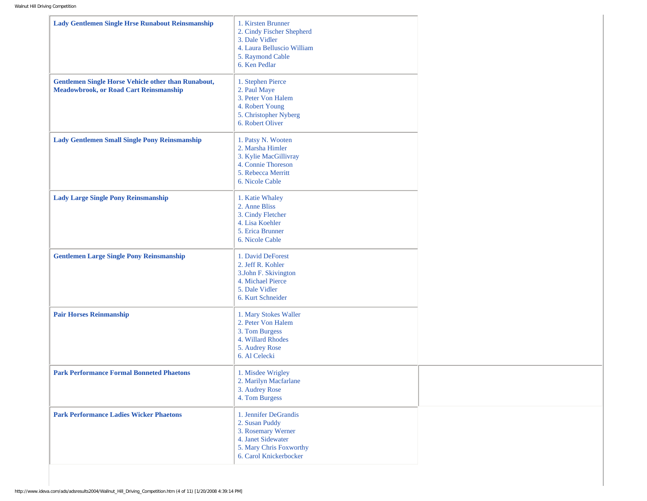| <b>Lady Gentlemen Single Hrse Runabout Reinsmanship</b>                                                     | 1. Kirsten Brunner<br>2. Cindy Fischer Shepherd<br>3. Dale Vidler<br>4. Laura Belluscio William<br>5. Raymond Cable<br>6. Ken Pedlar     |
|-------------------------------------------------------------------------------------------------------------|------------------------------------------------------------------------------------------------------------------------------------------|
| <b>Gentlemen Single Horse Vehicle other than Runabout,</b><br><b>Meadowbrook, or Road Cart Reinsmanship</b> | 1. Stephen Pierce<br>2. Paul Maye<br>3. Peter Von Halem<br>4. Robert Young<br>5. Christopher Nyberg<br>6. Robert Oliver                  |
| <b>Lady Gentlemen Small Single Pony Reinsmanship</b>                                                        | 1. Patsy N. Wooten<br>2. Marsha Himler<br>3. Kylie MacGillivray<br>4. Connie Thoreson<br>5. Rebecca Merritt<br>6. Nicole Cable           |
| <b>Lady Large Single Pony Reinsmanship</b>                                                                  | 1. Katie Whaley<br>2. Anne Bliss<br>3. Cindy Fletcher<br>4. Lisa Koehler<br>5. Erica Brunner<br>6. Nicole Cable                          |
| <b>Gentlemen Large Single Pony Reinsmanship</b>                                                             | 1. David DeForest<br>2. Jeff R. Kohler<br>3.John F. Skivington<br>4. Michael Pierce<br>5. Dale Vidler<br>6. Kurt Schneider               |
| <b>Pair Horses Reinmanship</b>                                                                              | 1. Mary Stokes Waller<br>2. Peter Von Halem<br>3. Tom Burgess<br>4. Willard Rhodes<br>5. Audrey Rose<br>6. Al Celecki                    |
| <b>Park Performance Formal Bonneted Phaetons</b>                                                            | 1. Misdee Wrigley<br>2. Marilyn Macfarlane<br>3. Audrey Rose<br>4. Tom Burgess                                                           |
| <b>Park Performance Ladies Wicker Phaetons</b>                                                              | 1. Jennifer DeGrandis<br>2. Susan Puddy<br>3. Rosemary Werner<br>4. Janet Sidewater<br>5. Mary Chris Foxworthy<br>6. Carol Knickerbocker |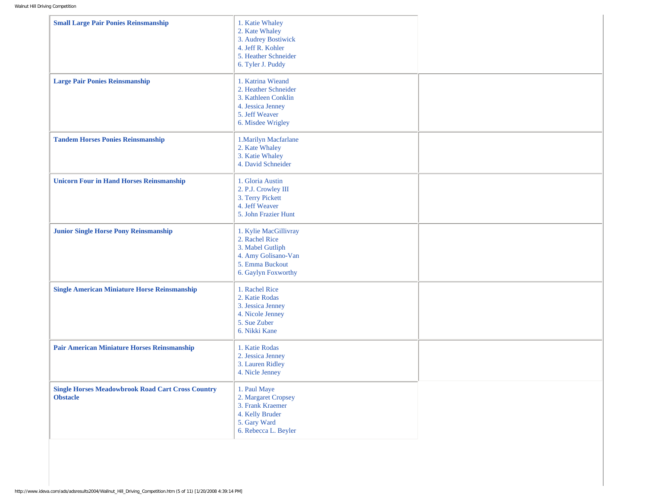| <b>Small Large Pair Ponies Reinsmanship</b>                                 | 1. Katie Whaley<br>2. Kate Whaley<br>3. Audrey Bostiwick<br>4. Jeff R. Kohler<br>5. Heather Schneider<br>6. Tyler J. Puddy   |  |
|-----------------------------------------------------------------------------|------------------------------------------------------------------------------------------------------------------------------|--|
| <b>Large Pair Ponies Reinsmanship</b>                                       | 1. Katrina Wieand<br>2. Heather Schneider<br>3. Kathleen Conklin<br>4. Jessica Jenney<br>5. Jeff Weaver<br>6. Misdee Wrigley |  |
| <b>Tandem Horses Ponies Reinsmanship</b>                                    | 1. Marilyn Macfarlane<br>2. Kate Whaley<br>3. Katie Whaley<br>4. David Schneider                                             |  |
| <b>Unicorn Four in Hand Horses Reinsmanship</b>                             | 1. Gloria Austin<br>2. P.J. Crowley III<br>3. Terry Pickett<br>4. Jeff Weaver<br>5. John Frazier Hunt                        |  |
| <b>Junior Single Horse Pony Reinsmanship</b>                                | 1. Kylie MacGillivray<br>2. Rachel Rice<br>3. Mabel Gutliph<br>4. Amy Golisano-Van<br>5. Emma Buckout<br>6. Gaylyn Foxworthy |  |
| <b>Single American Miniature Horse Reinsmanship</b>                         | 1. Rachel Rice<br>2. Katie Rodas<br>3. Jessica Jenney<br>4. Nicole Jenney<br>5. Sue Zuber<br>6. Nikki Kane                   |  |
| <b>Pair American Miniature Horses Reinsmanship</b>                          | 1. Katie Rodas<br>2. Jessica Jenney<br>3. Lauren Ridley<br>4. Nicle Jenney                                                   |  |
| <b>Single Horses Meadowbrook Road Cart Cross Country</b><br><b>Obstacle</b> | 1. Paul Maye<br>2. Margaret Cropsey<br>3. Frank Kraemer<br>4. Kelly Bruder<br>5. Gary Ward<br>6. Rebecca L. Beyler           |  |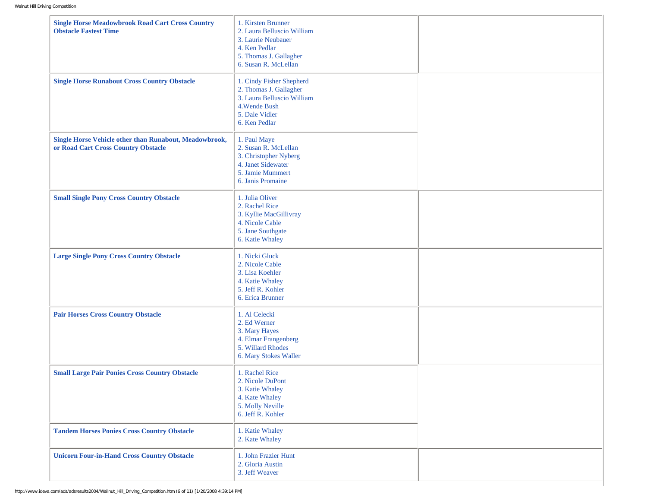| <b>Single Horse Meadowbrook Road Cart Cross Country</b><br><b>Obstacle Fastest Time</b>       | 1. Kirsten Brunner<br>2. Laura Belluscio William<br>3. Laurie Neubauer<br>4. Ken Pedlar<br>5. Thomas J. Gallagher<br>6. Susan R. McLellan |  |
|-----------------------------------------------------------------------------------------------|-------------------------------------------------------------------------------------------------------------------------------------------|--|
| <b>Single Horse Runabout Cross Country Obstacle</b>                                           | 1. Cindy Fisher Shepherd<br>2. Thomas J. Gallagher<br>3. Laura Belluscio William<br>4. Wende Bush<br>5. Dale Vidler<br>6. Ken Pedlar      |  |
| Single Horse Vehicle other than Runabout, Meadowbrook,<br>or Road Cart Cross Country Obstacle | 1. Paul Maye<br>2. Susan R. McLellan<br>3. Christopher Nyberg<br>4. Janet Sidewater<br>5. Jamie Mummert<br>6. Janis Promaine              |  |
| <b>Small Single Pony Cross Country Obstacle</b>                                               | 1. Julia Oliver<br>2. Rachel Rice<br>3. Kyllie MacGillivray<br>4. Nicole Cable<br>5. Jane Southgate<br>6. Katie Whaley                    |  |
| <b>Large Single Pony Cross Country Obstacle</b>                                               | 1. Nicki Gluck<br>2. Nicole Cable<br>3. Lisa Koehler<br>4. Katie Whaley<br>5. Jeff R. Kohler<br>6. Erica Brunner                          |  |
| <b>Pair Horses Cross Country Obstacle</b>                                                     | 1. Al Celecki<br>2. Ed Werner<br>3. Mary Hayes<br>4. Elmar Frangenberg<br>5. Willard Rhodes<br>6. Mary Stokes Waller                      |  |
| <b>Small Large Pair Ponies Cross Country Obstacle</b>                                         | 1. Rachel Rice<br>2. Nicole DuPont<br>3. Katie Whaley<br>4. Kate Whaley<br>5. Molly Neville<br>6. Jeff R. Kohler                          |  |
| <b>Tandem Horses Ponies Cross Country Obstacle</b>                                            | 1. Katie Whaley<br>2. Kate Whaley                                                                                                         |  |
| <b>Unicorn Four-in-Hand Cross Country Obstacle</b>                                            | 1. John Frazier Hunt<br>2. Gloria Austin<br>3. Jeff Weaver                                                                                |  |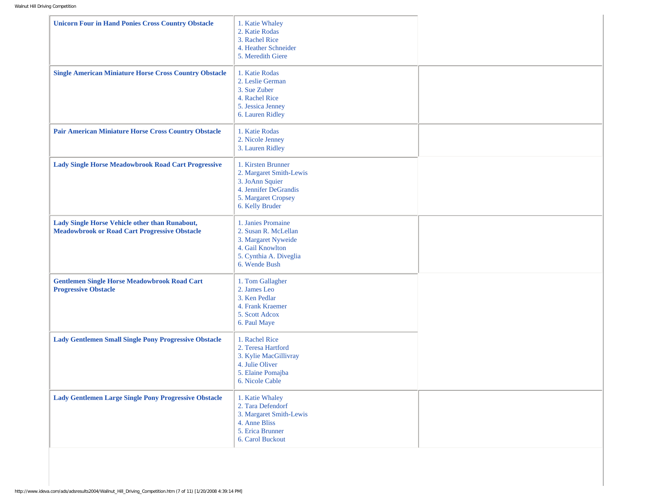| <b>Unicorn Four in Hand Ponies Cross Country Obstacle</b>                                              | 1. Katie Whaley<br>2. Katie Rodas<br>3. Rachel Rice<br>4. Heather Schneider<br>5. Meredith Giere                                    |  |
|--------------------------------------------------------------------------------------------------------|-------------------------------------------------------------------------------------------------------------------------------------|--|
| <b>Single American Miniature Horse Cross Country Obstacle</b>                                          | 1. Katie Rodas<br>2. Leslie German<br>3. Sue Zuber<br>4. Rachel Rice<br>5. Jessica Jenney<br>6. Lauren Ridley                       |  |
| <b>Pair American Miniature Horse Cross Country Obstacle</b>                                            | 1. Katie Rodas<br>2. Nicole Jenney<br>3. Lauren Ridley                                                                              |  |
| <b>Lady Single Horse Meadowbrook Road Cart Progressive</b>                                             | 1. Kirsten Brunner<br>2. Margaret Smith-Lewis<br>3. JoAnn Squier<br>4. Jennifer DeGrandis<br>5. Margaret Cropsey<br>6. Kelly Bruder |  |
| Lady Single Horse Vehicle other than Runabout,<br><b>Meadowbrook or Road Cart Progressive Obstacle</b> | 1. Janies Promaine<br>2. Susan R. McLellan<br>3. Margaret Nyweide<br>4. Gail Knowlton<br>5. Cynthia A. Diveglia<br>6. Wende Bush    |  |
| <b>Gentlemen Single Horse Meadowbrook Road Cart</b><br><b>Progressive Obstacle</b>                     | 1. Tom Gallagher<br>2. James Leo<br>3. Ken Pedlar<br>4. Frank Kraemer<br>5. Scott Adcox<br>6. Paul Maye                             |  |
| <b>Lady Gentlemen Small Single Pony Progressive Obstacle</b>                                           | 1. Rachel Rice<br>2. Teresa Hartford<br>3. Kylie MacGillivray<br>4. Julie Oliver<br>5. Elaine Pomajba<br>6. Nicole Cable            |  |
| <b>Lady Gentlemen Large Single Pony Progressive Obstacle</b>                                           | 1. Katie Whaley<br>2. Tara Defendorf<br>3. Margaret Smith-Lewis<br>4. Anne Bliss<br>5. Erica Brunner<br>6. Carol Buckout            |  |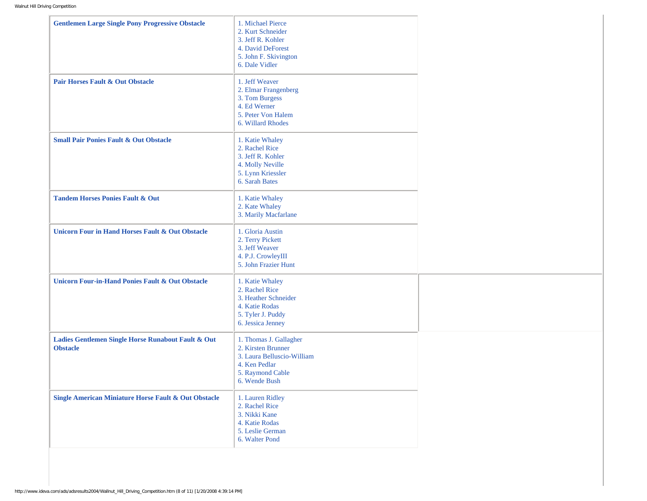| <b>Gentlemen Large Single Pony Progressive Obstacle</b>               | 1. Michael Pierce<br>2. Kurt Schneider<br>3. Jeff R. Kohler<br>4. David DeForest<br>5. John F. Skivington<br>6. Dale Vidler      |  |
|-----------------------------------------------------------------------|----------------------------------------------------------------------------------------------------------------------------------|--|
| <b>Pair Horses Fault &amp; Out Obstacle</b>                           | 1. Jeff Weaver<br>2. Elmar Frangenberg<br>3. Tom Burgess<br>4. Ed Werner<br>5. Peter Von Halem<br>6. Willard Rhodes              |  |
| <b>Small Pair Ponies Fault &amp; Out Obstacle</b>                     | 1. Katie Whaley<br>2. Rachel Rice<br>3. Jeff R. Kohler<br>4. Molly Neville<br>5. Lynn Kriessler<br>6. Sarah Bates                |  |
| <b>Tandem Horses Ponies Fault &amp; Out</b>                           | 1. Katie Whaley<br>2. Kate Whaley<br>3. Marily Macfarlane                                                                        |  |
| <b>Unicorn Four in Hand Horses Fault &amp; Out Obstacle</b>           | 1. Gloria Austin<br>2. Terry Pickett<br>3. Jeff Weaver<br>4. P.J. CrowleyIII<br>5. John Frazier Hunt                             |  |
| <b>Unicorn Four-in-Hand Ponies Fault &amp; Out Obstacle</b>           | 1. Katie Whaley<br>2. Rachel Rice<br>3. Heather Schneider<br>4. Katie Rodas<br>5. Tyler J. Puddy<br>6. Jessica Jenney            |  |
| Ladies Gentlemen Single Horse Runabout Fault & Out<br><b>Obstacle</b> | 1. Thomas J. Gallagher<br>2. Kirsten Brunner<br>3. Laura Belluscio-William<br>4. Ken Pedlar<br>5. Raymond Cable<br>6. Wende Bush |  |
| <b>Single American Miniature Horse Fault &amp; Out Obstacle</b>       | 1. Lauren Ridley<br>2. Rachel Rice<br>3. Nikki Kane<br>4. Katie Rodas<br>5. Leslie German<br>6. Walter Pond                      |  |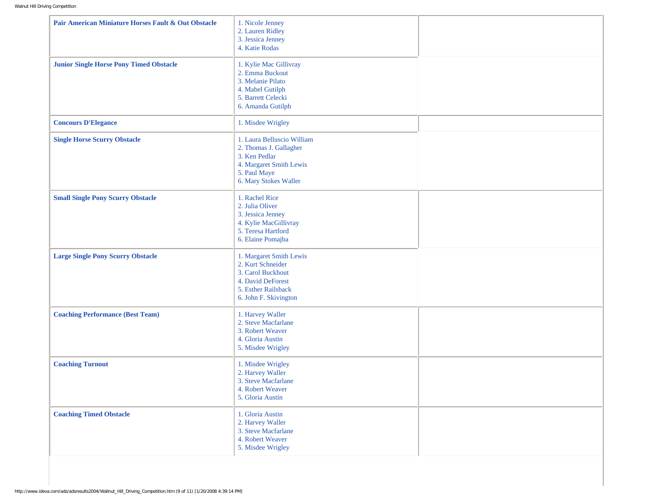| Pair American Miniature Horses Fault & Out Obstacle | 1. Nicole Jenney<br>2. Lauren Ridley<br>3. Jessica Jenney<br>4. Katie Rodas                                                               |  |
|-----------------------------------------------------|-------------------------------------------------------------------------------------------------------------------------------------------|--|
| <b>Junior Single Horse Pony Timed Obstacle</b>      | 1. Kylie Mac Gillivray<br>2. Emma Buckout<br>3. Melanie Pilato<br>4. Mabel Gutilph<br>5. Barrett Celecki<br>6. Amanda Gutilph             |  |
| <b>Concours D'Elegance</b>                          | 1. Misdee Wrigley                                                                                                                         |  |
| <b>Single Horse Scurry Obstacle</b>                 | 1. Laura Belluscio William<br>2. Thomas J. Gallagher<br>3. Ken Pedlar<br>4. Margaret Smith Lewis<br>5. Paul Maye<br>6. Mary Stokes Waller |  |
| <b>Small Single Pony Scurry Obstacle</b>            | 1. Rachel Rice<br>2. Julia Oliver<br>3. Jessica Jenney<br>4. Kylie MacGillivray<br>5. Teresa Hartford<br>6. Elaine Pomajba                |  |
| <b>Large Single Pony Scurry Obstacle</b>            | 1. Margaret Smith Lewis<br>2. Kurt Schneider<br>3. Carol Buckhout<br>4. David DeForest<br>5. Esther Railsback<br>6. John F. Skivington    |  |
| <b>Coaching Performance (Best Team)</b>             | 1. Harvey Waller<br>2. Steve Macfarlane<br>3. Robert Weaver<br>4. Gloria Austin<br>5. Misdee Wrigley                                      |  |
| <b>Coaching Turnout</b>                             | 1. Misdee Wrigley<br>2. Harvey Waller<br>3. Steve Macfarlane<br>4. Robert Weaver<br>5. Gloria Austin                                      |  |
| <b>Coaching Timed Obstacle</b>                      | 1. Gloria Austin<br>2. Harvey Waller<br>3. Steve Macfarlane<br>4. Robert Weaver<br>5. Misdee Wrigley                                      |  |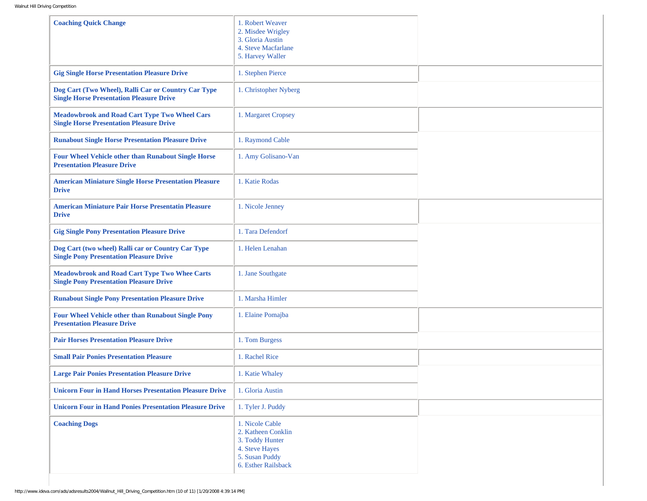| <b>Coaching Quick Change</b>                                                                            | 1. Robert Weaver<br>2. Misdee Wrigley<br>3. Gloria Austin<br>4. Steve Macfarlane<br>5. Harvey Waller                |  |
|---------------------------------------------------------------------------------------------------------|---------------------------------------------------------------------------------------------------------------------|--|
| <b>Gig Single Horse Presentation Pleasure Drive</b>                                                     | 1. Stephen Pierce                                                                                                   |  |
| Dog Cart (Two Wheel), Ralli Car or Country Car Type<br><b>Single Horse Presentation Pleasure Drive</b>  | 1. Christopher Nyberg                                                                                               |  |
| <b>Meadowbrook and Road Cart Type Two Wheel Cars</b><br><b>Single Horse Presentation Pleasure Drive</b> | 1. Margaret Cropsey                                                                                                 |  |
| <b>Runabout Single Horse Presentation Pleasure Drive</b>                                                | 1. Raymond Cable                                                                                                    |  |
| <b>Four Wheel Vehicle other than Runabout Single Horse</b><br><b>Presentation Pleasure Drive</b>        | 1. Amy Golisano-Van                                                                                                 |  |
| <b>American Miniature Single Horse Presentation Pleasure</b><br><b>Drive</b>                            | 1. Katie Rodas                                                                                                      |  |
| <b>American Miniature Pair Horse Presentatin Pleasure</b><br><b>Drive</b>                               | 1. Nicole Jenney                                                                                                    |  |
| <b>Gig Single Pony Presentation Pleasure Drive</b>                                                      | 1. Tara Defendorf                                                                                                   |  |
| Dog Cart (two wheel) Ralli car or Country Car Type<br><b>Single Pony Presentation Pleasure Drive</b>    | 1. Helen Lenahan                                                                                                    |  |
| <b>Meadowbrook and Road Cart Type Two Whee Carts</b><br><b>Single Pony Presentation Pleasure Drive</b>  | 1. Jane Southgate                                                                                                   |  |
| <b>Runabout Single Pony Presentation Pleasure Drive</b>                                                 | 1. Marsha Himler                                                                                                    |  |
| <b>Four Wheel Vehicle other than Runabout Single Pony</b><br><b>Presentation Pleasure Drive</b>         | 1. Elaine Pomajba                                                                                                   |  |
| <b>Pair Horses Presentation Pleasure Drive</b>                                                          | 1. Tom Burgess                                                                                                      |  |
| <b>Small Pair Ponies Presentation Pleasure</b>                                                          | 1. Rachel Rice                                                                                                      |  |
| <b>Large Pair Ponies Presentation Pleasure Drive</b>                                                    | 1. Katie Whaley                                                                                                     |  |
| <b>Unicorn Four in Hand Horses Presentation Pleasure Drive</b>                                          | 1. Gloria Austin                                                                                                    |  |
| <b>Unicorn Four in Hand Ponies Presentation Pleasure Drive</b>                                          | 1. Tyler J. Puddy                                                                                                   |  |
| <b>Coaching Dogs</b>                                                                                    | 1. Nicole Cable<br>2. Katheen Conklin<br>3. Toddy Hunter<br>4. Steve Hayes<br>5. Susan Puddy<br>6. Esther Railsback |  |